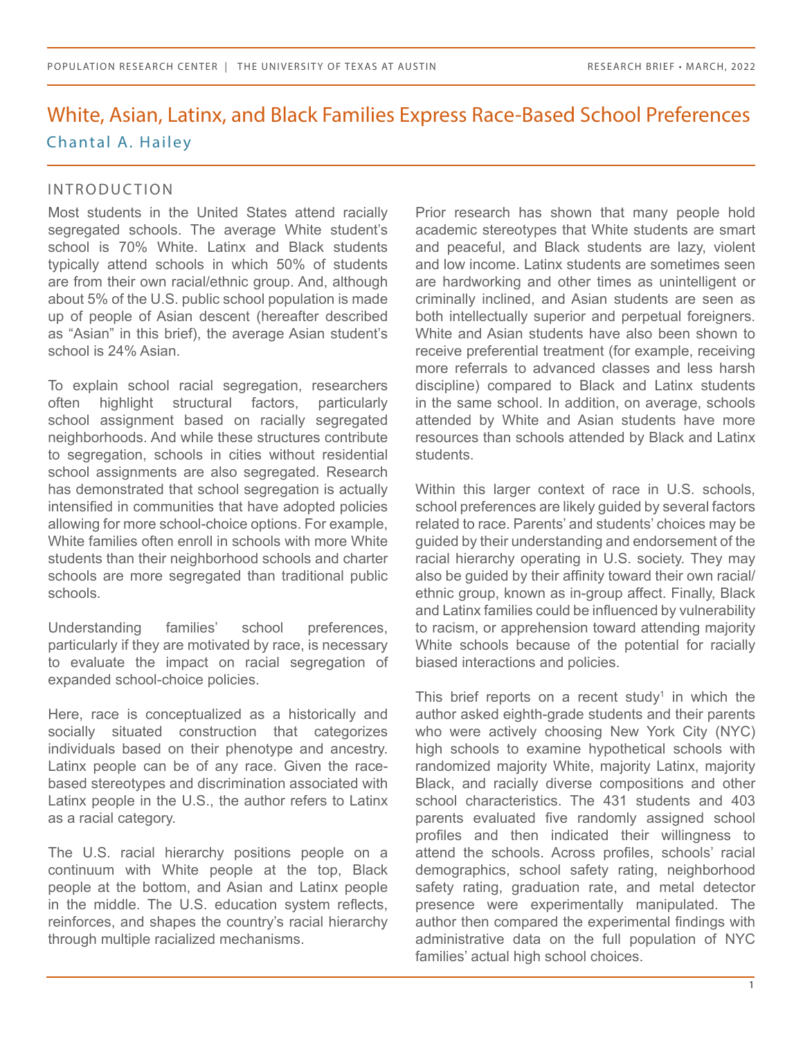# White, Asian, Latinx, and Black Families Express Race-Based School Preferences Chantal A. Hailey

## INTRODUCTION

Most students in the United States attend racially segregated schools. The average White student's school is 70% White. Latinx and Black students typically attend schools in which 50% of students are from their own racial/ethnic group. And, although about 5% of the U.S. public school population is made up of people of Asian descent (hereafter described as "Asian" in this brief), the average Asian student's school is 24% Asian.

To explain school racial segregation, researchers often highlight structural factors, particularly school assignment based on racially segregated neighborhoods. And while these structures contribute to segregation, schools in cities without residential school assignments are also segregated. Research has demonstrated that school segregation is actually intensified in communities that have adopted policies allowing for more school-choice options. For example, White families often enroll in schools with more White students than their neighborhood schools and charter schools are more segregated than traditional public schools.

Understanding families' school preferences, particularly if they are motivated by race, is necessary to evaluate the impact on racial segregation of expanded school-choice policies.

Here, race is conceptualized as a historically and socially situated construction that categorizes individuals based on their phenotype and ancestry. Latinx people can be of any race. Given the racebased stereotypes and discrimination associated with Latinx people in the U.S., the author refers to Latinx as a racial category.

The U.S. racial hierarchy positions people on a continuum with White people at the top, Black people at the bottom, and Asian and Latinx people in the middle. The U.S. education system reflects, reinforces, and shapes the country's racial hierarchy through multiple racialized mechanisms.

Prior research has shown that many people hold academic stereotypes that White students are smart and peaceful, and Black students are lazy, violent and low income. Latinx students are sometimes seen are hardworking and other times as unintelligent or criminally inclined, and Asian students are seen as both intellectually superior and perpetual foreigners. White and Asian students have also been shown to receive preferential treatment (for example, receiving more referrals to advanced classes and less harsh discipline) compared to Black and Latinx students in the same school. In addition, on average, schools attended by White and Asian students have more resources than schools attended by Black and Latinx students.

Within this larger context of race in U.S. schools, school preferences are likely guided by several factors related to race. Parents' and students' choices may be guided by their understanding and endorsement of the racial hierarchy operating in U.S. society. They may also be guided by their affinity toward their own racial/ ethnic group, known as in-group affect. Finally, Black and Latinx families could be influenced by vulnerability to racism, or apprehension toward attending majority White schools because of the potential for racially biased interactions and policies.

This brief reports on a recent study<sup>1</sup> in which the author asked eighth-grade students and their parents who were actively choosing New York City (NYC) high schools to examine hypothetical schools with randomized majority White, majority Latinx, majority Black, and racially diverse compositions and other school characteristics. The 431 students and 403 parents evaluated five randomly assigned school profiles and then indicated their willingness to attend the schools. Across profiles, schools' racial demographics, school safety rating, neighborhood safety rating, graduation rate, and metal detector presence were experimentally manipulated. The author then compared the experimental findings with administrative data on the full population of NYC families' actual high school choices.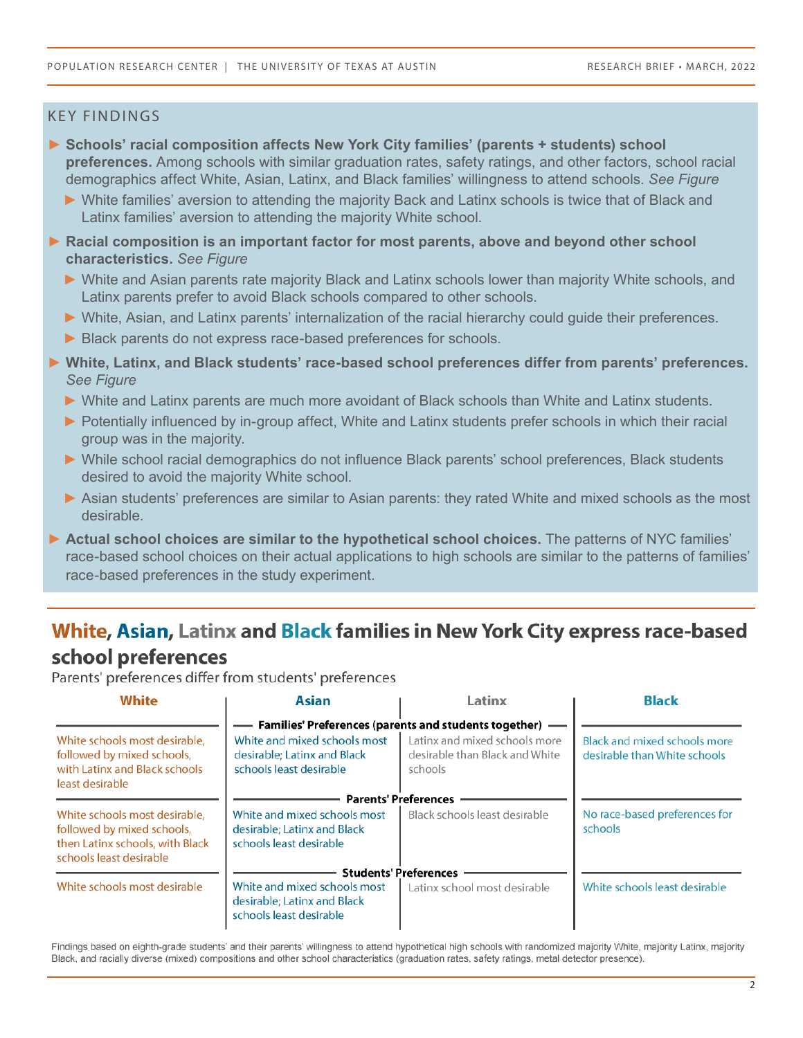## KEY FINDINGS

- ► **Schools' racial composition affects New York City families' (parents + students) school preferences.** Among schools with similar graduation rates, safety ratings, and other factors, school racial demographics affect White, Asian, Latinx, and Black families' willingness to attend schools. *See Figure*
	- ► White families' aversion to attending the majority Back and Latinx schools is twice that of Black and Latinx families' aversion to attending the majority White school.
- ► Racial composition is an important factor for most parents, above and beyond other school **characteristics.** *See Figure*
	- ► White and Asian parents rate majority Black and Latinx schools lower than majority White schools, and Latinx parents prefer to avoid Black schools compared to other schools.
	- ► White, Asian, and Latinx parents' internalization of the racial hierarchy could guide their preferences.
	- ► Black parents do not express race-based preferences for schools.
- ► **White, Latinx, and Black students' race-based school preferences differ from parents' preferences.** *See Figure*
	- ► White and Latinx parents are much more avoidant of Black schools than White and Latinx students.
	- ► Potentially influenced by in-group affect, White and Latinx students prefer schools in which their racial group was in the majority.
	- ► While school racial demographics do not influence Black parents' school preferences, Black students desired to avoid the majority White school.
	- ► Asian students' preferences are similar to Asian parents: they rated White and mixed schools as the most desirable.
- ► **Actual school choices are similar to the hypothetical school choices.** The patterns of NYC families' race-based school choices on their actual applications to high schools are similar to the patterns of families' race-based preferences in the study experiment.

# White, Asian, Latinx and Black families in New York City express race-based school preferences

Parents' preferences differ from students' preferences

| White                                                                                                                     | <b>Asian</b>                                                                           | Latinx                                                                     | <b>Black</b>                                                 |
|---------------------------------------------------------------------------------------------------------------------------|----------------------------------------------------------------------------------------|----------------------------------------------------------------------------|--------------------------------------------------------------|
|                                                                                                                           | Families' Preferences (parents and students together) -                                |                                                                            |                                                              |
| White schools most desirable,<br>followed by mixed schools,<br>with Latinx and Black schools<br>least desirable           | White and mixed schools most<br>desirable: Latinx and Black<br>schools least desirable | Latinx and mixed schools more<br>desirable than Black and White<br>schools | Black and mixed schools more<br>desirable than White schools |
|                                                                                                                           | <b>Parents' Preferences</b>                                                            |                                                                            |                                                              |
| White schools most desirable,<br>followed by mixed schools,<br>then Latinx schools, with Black<br>schools least desirable | White and mixed schools most<br>desirable; Latinx and Black<br>schools least desirable | Black schools least desirable                                              | No race-based preferences for<br>schools                     |
|                                                                                                                           | <b>Students' Preferences</b>                                                           |                                                                            |                                                              |
| White schools most desirable                                                                                              | White and mixed schools most<br>desirable; Latinx and Black<br>schools least desirable | Latinx school most desirable                                               | White schools least desirable                                |

Findings based on eighth-grade students' and their parents' willingness to attend hypothetical high schools with randomized majority White, majority Latinx, majority Black, and racially diverse (mixed) compositions and other school characteristics (graduation rates, safety ratings, metal detector presence).